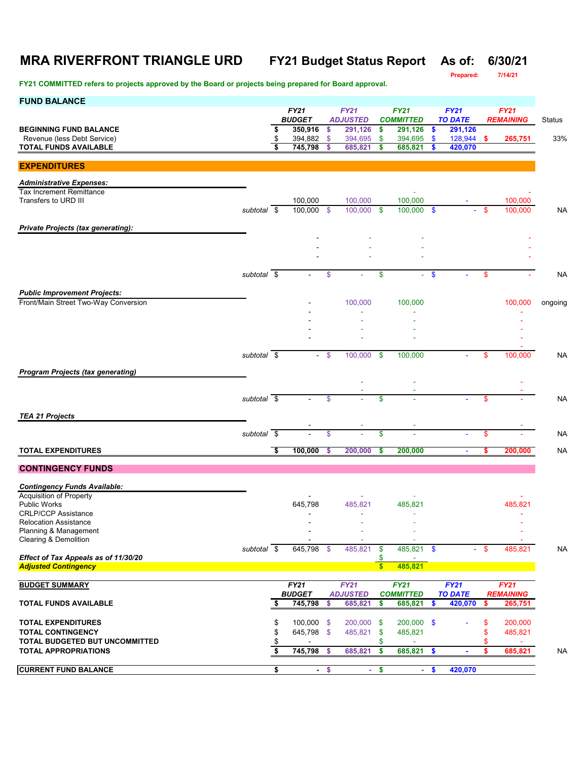# **MRA RIVERFRONT TRIANGLE URD FY21 Budget Status Report As of: 6/30/21**

**FY21 COMMITTED refers to projects approved by the Board or projects being prepared for Board approval.**

**Prepared: 7/14/21**

| <b>FUND BALANCE</b>                                                 |                          |          | <b>FY21</b>              |                     | <b>FY21</b>             |                    | <b>FY21</b>              |               | <b>FY21</b>            |          | <b>FY21</b>                     |                |
|---------------------------------------------------------------------|--------------------------|----------|--------------------------|---------------------|-------------------------|--------------------|--------------------------|---------------|------------------------|----------|---------------------------------|----------------|
|                                                                     |                          |          | <b>BUDGET</b>            |                     | <b>ADJUSTED</b>         |                    | <b>COMMITTED</b>         |               | <b>TO DATE</b>         |          | <b>REMAINING</b>                | Status         |
| <b>BEGINNING FUND BALANCE</b>                                       |                          | \$       | 350,916                  | \$                  | 291,126                 | $\frac{1}{2}$      | 291,126                  | $\frac{1}{2}$ | 291,126                |          |                                 | 33%            |
| Revenue (less Debt Service)<br><b>TOTAL FUNDS AVAILABLE</b>         |                          | \$<br>\$ | 394,882<br>745,798       | $\frac{1}{2}$<br>\$ | 394,695<br>685,821      | \$<br>\$           | 394,695<br>685,821       | \$<br>\$      | 128,944 \$<br>420,070  |          | 265,751                         |                |
|                                                                     |                          |          |                          |                     |                         |                    |                          |               |                        |          |                                 |                |
| <b>EXPENDITURES</b>                                                 |                          |          |                          |                     |                         |                    |                          |               |                        |          |                                 |                |
| <b>Administrative Expenses:</b>                                     |                          |          |                          |                     |                         |                    |                          |               |                        |          |                                 |                |
| <b>Tax Increment Remittance</b><br>Transfers to URD III             |                          |          | 100,000                  |                     | 100,000                 |                    | 100,000                  |               |                        |          | 100,000                         |                |
|                                                                     | subtotal \$              |          | 100,000 \$               |                     | 100,000 \$              |                    | 100,000 \$               |               |                        | -\$      | 100,000                         | N <sub>A</sub> |
| <b>Private Projects (tax generating):</b>                           |                          |          |                          |                     |                         |                    |                          |               |                        |          |                                 |                |
|                                                                     |                          |          |                          |                     |                         |                    |                          |               |                        |          |                                 |                |
|                                                                     |                          |          |                          |                     |                         |                    |                          |               |                        |          |                                 |                |
|                                                                     |                          |          |                          |                     |                         |                    |                          |               |                        |          |                                 |                |
|                                                                     | subtotal \$              |          |                          | \$                  |                         | \$                 | ÷.                       | -\$           |                        | \$       |                                 | NA             |
| <b>Public Improvement Projects:</b>                                 |                          |          |                          |                     |                         |                    |                          |               |                        |          |                                 |                |
| Front/Main Street Two-Way Conversion                                |                          |          |                          |                     | 100,000                 |                    | 100,000                  |               |                        |          | 100,000                         | ongoing        |
|                                                                     |                          |          |                          |                     |                         |                    |                          |               |                        |          |                                 |                |
|                                                                     |                          |          |                          |                     |                         |                    |                          |               |                        |          |                                 |                |
|                                                                     |                          |          |                          |                     |                         |                    |                          |               |                        |          |                                 |                |
|                                                                     | subtotal \$              |          | $\sim$                   | $\sqrt[6]{3}$       | 100,000                 | -\$                | 100,000                  |               |                        | \$       | 100,000                         | NΑ             |
|                                                                     |                          |          |                          |                     |                         |                    |                          |               |                        |          |                                 |                |
| <b>Program Projects (tax generating)</b>                            |                          |          |                          |                     |                         |                    |                          |               |                        |          |                                 |                |
|                                                                     |                          |          |                          |                     |                         |                    |                          |               |                        |          |                                 |                |
|                                                                     | subtotal \$              |          |                          | \$                  |                         | \$                 |                          |               |                        | \$       |                                 | N <sub>A</sub> |
| <b>TEA 21 Projects</b>                                              |                          |          |                          |                     |                         |                    |                          |               |                        |          |                                 |                |
|                                                                     | subtotal $\overline{\$}$ |          |                          | \$                  |                         | \$                 | ä,                       |               |                        | \$       |                                 | N <sub>A</sub> |
| <b>TOTAL EXPENDITURES</b>                                           |                          | s,       | 100,000                  | -S                  | 200,000                 | S                  | 200,000                  |               | $\blacksquare$         |          | 200,000                         | N <sub>A</sub> |
|                                                                     |                          |          |                          |                     |                         |                    |                          |               |                        |          |                                 |                |
| <b>CONTINGENCY FUNDS</b>                                            |                          |          |                          |                     |                         |                    |                          |               |                        |          |                                 |                |
| <b>Contingency Funds Available:</b>                                 |                          |          |                          |                     |                         |                    |                          |               |                        |          |                                 |                |
| Acquisition of Property                                             |                          |          |                          |                     |                         |                    |                          |               |                        |          |                                 |                |
| <b>Public Works</b><br><b>CRLP/CCP Assistance</b>                   |                          |          | 645,798                  |                     | 485,821<br>$\sim$       |                    | 485,821                  |               |                        |          | 485,821<br>٠                    |                |
| <b>Relocation Assistance</b>                                        |                          |          |                          |                     |                         |                    |                          |               |                        |          |                                 |                |
| Planning & Management<br>Clearing & Demolition                      |                          |          |                          |                     |                         |                    |                          |               |                        |          |                                 |                |
|                                                                     | $subtotal$ \$            |          | 645,798 \$               |                     | 485,821                 | $\sqrt[6]{3}$      | 485,821 \$               |               |                        | $-$ \$   | 485,821                         | N <sub>A</sub> |
| Effect of Tax Appeals as of 11/30/20<br><b>Adjusted Contingency</b> |                          |          |                          |                     |                         | \$<br>$\mathsf{s}$ | 485,821                  |               |                        |          |                                 |                |
|                                                                     |                          |          |                          |                     |                         |                    |                          |               |                        |          |                                 |                |
| <b>BUDGET SUMMARY</b>                                               |                          |          | FY21<br><b>BUDGET</b>    |                     | FY21<br><b>ADJUSTED</b> |                    | FY21<br><b>COMMITTED</b> |               | FY21<br><b>TO DATE</b> |          | <b>FY21</b><br><b>REMAINING</b> |                |
| <b>TOTAL FUNDS AVAILABLE</b>                                        |                          | \$       | 745,798                  | \$                  | 685,821                 | \$                 | 685,821                  | <b>S</b>      | 420,070                | \$       | 265,751                         |                |
|                                                                     |                          |          |                          |                     |                         |                    |                          |               |                        |          |                                 |                |
| <b>TOTAL EXPENDITURES</b><br><b>TOTAL CONTINGENCY</b>               |                          | \$<br>\$ | 100,000 \$<br>645,798 \$ |                     | 200,000<br>485,821      | -\$<br>\$          | 200,000 \$<br>485,821    |               |                        | \$<br>\$ | 200,000<br>485,821              |                |
| TOTAL BUDGETED BUT UNCOMMITTED                                      |                          |          |                          |                     |                         | \$                 |                          |               |                        | \$       |                                 |                |
| <b>TOTAL APPROPRIATIONS</b>                                         |                          | \$       | 745,798                  | - \$                | 685,821                 | \$                 | 685,821                  | \$            |                        | \$       | 685,821                         | <b>NA</b>      |
| <b>CURRENT FUND BALANCE</b>                                         |                          | \$       |                          | $-$ \$              | $\sim$                  | $\frac{1}{2}$      | ÷.                       | $\bullet$     | 420,070                |          |                                 |                |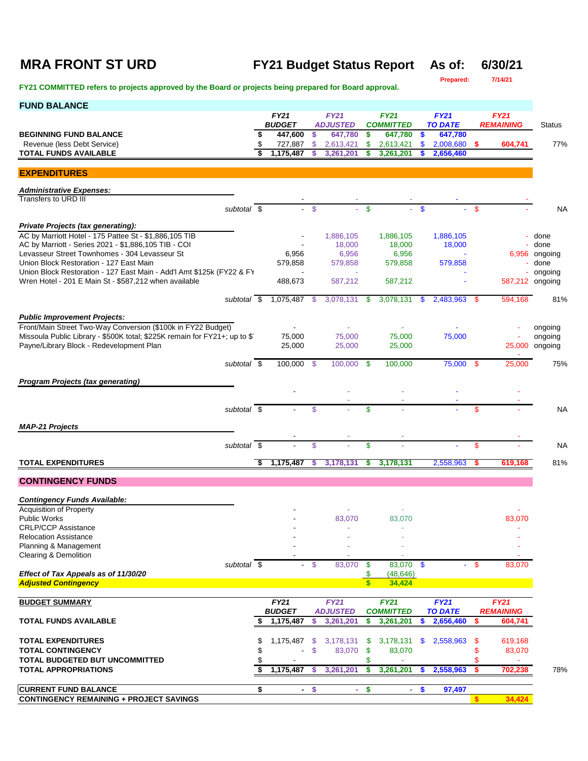## **MRA FRONT ST URD FY21 Budget Status Report As of: 6/30/21**

| Prepared: | 7/14/21 |
|-----------|---------|

| <b>FUND BALANCE</b>                                                                          |    |                              |         |                                |                           |                                 |               |                        |               |                                 |                 |
|----------------------------------------------------------------------------------------------|----|------------------------------|---------|--------------------------------|---------------------------|---------------------------------|---------------|------------------------|---------------|---------------------------------|-----------------|
|                                                                                              |    | <b>FY21</b><br><b>BUDGET</b> |         | <b>FY21</b><br><b>ADJUSTED</b> |                           | <b>FY21</b><br><b>COMMITTED</b> |               | FY21<br><b>TO DATE</b> |               | <b>FY21</b><br><b>REMAINING</b> | <b>Status</b>   |
| <b>BEGINNING FUND BALANCE</b>                                                                | S  | 447,600                      | \$      | 647,780                        | \$                        | 647,780                         | \$            | 647,780                |               |                                 |                 |
| Revenue (less Debt Service)<br><b>TOTAL FUNDS AVAILABLE</b>                                  | \$ | 727,887<br>1.175.487         | \$<br>S | 2,613,421<br>3,261,201         | \$<br>S                   | 2,613,421<br>3.261.201          | \$<br>\$.     | 2,008,680<br>2,656,460 | \$.           | 604,741                         | 77%             |
|                                                                                              |    |                              |         |                                |                           |                                 |               |                        |               |                                 |                 |
| <b>EXPENDITURES</b>                                                                          |    |                              |         |                                |                           |                                 |               |                        |               |                                 |                 |
| <b>Administrative Expenses:</b>                                                              |    |                              |         |                                |                           |                                 |               |                        |               |                                 |                 |
| Transfers to URD III<br>subtotal \$                                                          |    |                              | \$      |                                | $\mathbf S$               |                                 | \$            |                        | \$            |                                 | NA              |
|                                                                                              |    |                              |         |                                |                           |                                 |               |                        |               |                                 |                 |
| Private Projects (tax generating):<br>AC by Marriott Hotel - 175 Pattee St - \$1,886,105 TIB |    |                              |         | 1,886,105                      |                           | 1,886,105                       |               | 1,886,105              |               |                                 | done            |
| AC by Marriott - Series 2021 - \$1,886,105 TIB - COI                                         |    |                              |         | 18,000                         |                           | 18,000                          |               | 18,000                 |               |                                 | done            |
| Levasseur Street Townhomes - 304 Levasseur St<br>Union Block Restoration - 127 East Main     |    | 6,956<br>579,858             |         | 6,956<br>579,858               |                           | 6,956<br>579,858                |               | 579,858                |               | 6,956                           | ongoing<br>done |
| Union Block Restoration - 127 East Main - Add'l Amt \$125k (FY22 & FY                        |    |                              |         |                                |                           |                                 |               |                        |               |                                 | ongoing         |
| Wren Hotel - 201 E Main St - \$587,212 when available                                        |    | 488,673                      |         | 587,212                        |                           | 587,212                         |               |                        |               | 587,212 ongoing                 |                 |
| subtotal \$                                                                                  |    | 1,075,487                    | -\$     | 3,078,131                      | \$                        | 3,078,131                       | \$            | 2,483,963              | - \$          | 594,168                         | 81%             |
| <b>Public Improvement Projects:</b>                                                          |    |                              |         |                                |                           |                                 |               |                        |               |                                 |                 |
| Front/Main Street Two-Way Conversion (\$100k in FY22 Budget)                                 |    |                              |         |                                |                           |                                 |               |                        |               |                                 | ongoing         |
| Missoula Public Library - \$500K total; \$225K remain for FY21+; up to \$1                   |    | 75,000                       |         | 75,000                         |                           | 75,000                          |               | 75,000                 |               |                                 | ongoing         |
| Payne/Library Block - Redevelopment Plan                                                     |    | 25,000                       |         | 25,000                         |                           | 25,000                          |               |                        |               | 25,000                          | ongoing         |
| subtotal \$                                                                                  |    | 100,000 \$                   |         | 100,000                        | - \$                      | 100,000                         |               | 75,000                 | -\$           | 25,000                          | 75%             |
| <b>Program Projects (tax generating)</b>                                                     |    |                              |         |                                |                           |                                 |               |                        |               |                                 |                 |
|                                                                                              |    |                              |         |                                |                           |                                 |               |                        |               |                                 |                 |
| subtotal $\overline{\$}$                                                                     |    |                              | \$      |                                | \$                        |                                 |               |                        | \$            |                                 | NA              |
|                                                                                              |    |                              |         |                                |                           |                                 |               |                        |               |                                 |                 |
| <b>MAP-21 Projects</b>                                                                       |    |                              |         |                                |                           |                                 |               |                        |               |                                 |                 |
| subtotal \$                                                                                  |    |                              | \$      |                                | \$                        |                                 |               |                        | $\mathbf{\$}$ |                                 | <b>NA</b>       |
| <b>TOTAL EXPENDITURES</b>                                                                    | \$ | 1,175,487                    | S       | 3,178,131                      | S                         | 3,178,131                       |               | 2,558,963              | s             | 619,168                         | 81%             |
| <b>CONTINGENCY FUNDS</b>                                                                     |    |                              |         |                                |                           |                                 |               |                        |               |                                 |                 |
| <b>Contingency Funds Available:</b>                                                          |    |                              |         |                                |                           |                                 |               |                        |               |                                 |                 |
| <b>Acquisition of Property</b>                                                               |    |                              |         |                                |                           |                                 |               |                        |               |                                 |                 |
| <b>Public Works</b>                                                                          |    |                              |         | 83,070                         |                           | 83,070                          |               |                        |               | 83,070                          |                 |
| <b>CRLP/CCP Assistance</b><br><b>Relocation Assistance</b>                                   |    |                              |         |                                |                           |                                 |               |                        |               |                                 |                 |
| Planning & Management                                                                        |    |                              |         |                                |                           |                                 |               |                        |               |                                 |                 |
| Clearing & Demolition<br>subtotal \$                                                         |    |                              | $-$ \$  | 83,070                         | \$                        | 83,070                          | $\mathbf{\$}$ | ÷.                     | $\mathbf{s}$  | 83,070                          |                 |
| Effect of Tax Appeals as of 11/30/20                                                         |    |                              |         |                                | \$                        | (48, 646)                       |               |                        |               |                                 |                 |
| <b>Adjusted Contingency</b>                                                                  |    |                              |         |                                | $\mathbf{s}$              | 34,424                          |               |                        |               |                                 |                 |
| <b>BUDGET SUMMARY</b>                                                                        |    | <b>FY21</b>                  |         | <b>FY21</b>                    |                           | <b>FY21</b>                     |               | <b>FY21</b>            |               | <b>FY21</b>                     |                 |
| <b>TOTAL FUNDS AVAILABLE</b>                                                                 |    | <b>BUDGET</b><br>1,175,487   | \$      | <b>ADJUSTED</b>                | \$                        | <b>COMMITTED</b>                |               | <b>TO DATE</b>         | S             | <b>REMAINING</b>                |                 |
|                                                                                              |    |                              |         | 3,261,201                      |                           | 3,261,201                       | \$.           | 2,656,460              |               | 604,741                         |                 |
| <b>TOTAL EXPENDITURES</b>                                                                    | \$ | 1,175,487                    | \$      | 3,178,131                      | - \$                      | 3,178,131                       | \$            | 2,558,963              | \$            | 619,168                         |                 |
| <b>TOTAL CONTINGENCY</b>                                                                     | \$ |                              | \$      | 83,070                         | $\boldsymbol{\mathsf{s}}$ | 83,070                          |               |                        | \$            | 83,070                          |                 |
| TOTAL BUDGETED BUT UNCOMMITTED<br><b>TOTAL APPROPRIATIONS</b>                                |    | 1,175,487                    | S       | 3,261,201                      | \$<br>\$                  | 3,261,201                       | \$.           | 2,558,963              | \$<br>s.      | 702,238                         | 78%             |
|                                                                                              |    |                              |         |                                |                           |                                 |               |                        |               |                                 |                 |
| <b>CURRENT FUND BALANCE</b>                                                                  | \$ | $\blacksquare$               | \$      | ÷.                             | \$                        |                                 | - \$          | 97,497                 |               |                                 |                 |
| <b>CONTINGENCY REMAINING + PROJECT SAVINGS</b>                                               |    |                              |         |                                |                           |                                 |               |                        | <b>S</b>      | 34,424                          |                 |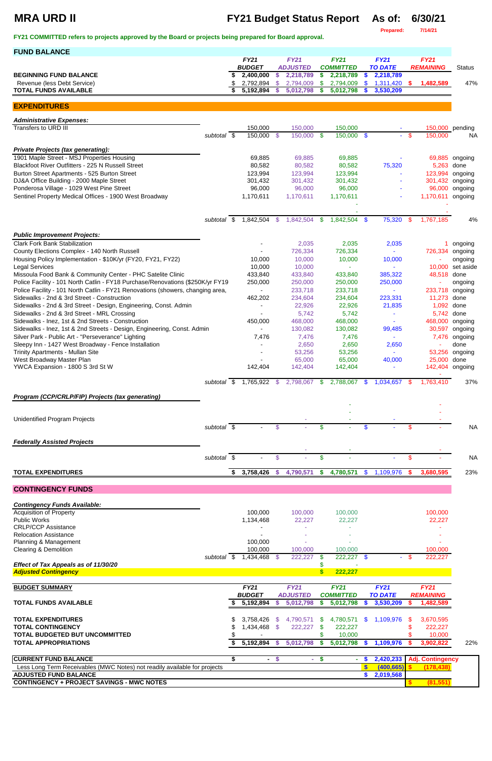# **MRA URD II FY21 Budget Status Report As of: 6/30/21**

**Prepared: 7/14/21**

| <b>FUND BALANCE</b>                                                                                                           |                          |   |                        |                |                        |           |                        |                |                           |                           |                     |                    |
|-------------------------------------------------------------------------------------------------------------------------------|--------------------------|---|------------------------|----------------|------------------------|-----------|------------------------|----------------|---------------------------|---------------------------|---------------------|--------------------|
|                                                                                                                               |                          |   | <b>FY21</b>            |                | <b>FY21</b>            |           | <b>FY21</b>            |                | <b>FY21</b>               |                           | <b>FY21</b>         |                    |
|                                                                                                                               |                          |   | <b>BUDGET</b>          |                | <b>ADJUSTED</b>        |           | <b>COMMITTED</b>       |                | <b>TO DATE</b>            |                           | <b>REMAINING</b>    | <b>Status</b>      |
| <b>BEGINNING FUND BALANCE</b><br>Revenue (less Debt Service)                                                                  |                          |   | 2,400,000<br>2,792,894 | \$<br>\$       | 2,218,789<br>2,794,009 | \$<br>\$. | 2,218,789<br>2,794,009 | <b>S</b><br>\$ | 2,218,789<br>1,311,420    | <b>S</b>                  | 1,482,589           | 47%                |
| <b>TOTAL FUNDS AVAILABLE</b>                                                                                                  |                          |   | 5,192,894              | <b>S</b>       | 5,012,798              | S.        | 5,012,798              | S              | 3,530,209                 |                           |                     |                    |
|                                                                                                                               |                          |   |                        |                |                        |           |                        |                |                           |                           |                     |                    |
| <b>EXPENDITURES</b>                                                                                                           |                          |   |                        |                |                        |           |                        |                |                           |                           |                     |                    |
| <b>Administrative Expenses:</b>                                                                                               |                          |   |                        |                |                        |           |                        |                |                           |                           |                     |                    |
| Transfers to URD III                                                                                                          |                          |   | 150,000                |                | 150,000                |           | 150,000                |                |                           |                           |                     | 150,000 pending    |
|                                                                                                                               | subtotal \$              |   | 150,000 \$             |                | 150,000 \$             |           | $150,000$ \$           |                | $\blacksquare$            | -\$                       | 150,000             | NA.                |
| <b>Private Projects (tax generating):</b>                                                                                     |                          |   |                        |                |                        |           |                        |                |                           |                           |                     |                    |
| 1901 Maple Street - MSJ Properties Housing                                                                                    |                          |   | 69,885                 |                | 69,885                 |           | 69,885                 |                |                           |                           |                     | 69,885 ongoing     |
| Blackfoot River Outfitters - 225 N Russell Street                                                                             |                          |   | 80,582                 |                | 80,582                 |           | 80,582                 |                | 75,320                    |                           | 5,263               | done               |
| Burton Street Apartments - 525 Burton Street                                                                                  |                          |   | 123,994                |                | 123,994                |           | 123,994                |                |                           |                           | 123,994             | ongoing            |
| DJ&A Office Building - 2000 Maple Street                                                                                      |                          |   | 301,432                |                | 301,432                |           | 301,432                |                |                           |                           | 301,432             | ongoing            |
| Ponderosa Village - 1029 West Pine Street<br>Sentinel Property Medical Offices - 1900 West Broadway                           |                          |   | 96,000<br>1,170,611    |                | 96,000<br>1,170,611    |           | 96,000<br>1,170,611    |                |                           |                           | 96,000<br>1,170,611 | ongoing<br>ongoing |
|                                                                                                                               |                          |   |                        |                |                        |           |                        |                |                           |                           |                     |                    |
|                                                                                                                               |                          |   |                        |                |                        |           |                        |                |                           |                           |                     |                    |
|                                                                                                                               | subtotal \$              |   | 1,842,504              | -\$            | 1,842,504              | \$        | 1,842,504              | $\mathbf{\$}$  | 75,320                    | \$                        | 1,767,185           | 4%                 |
|                                                                                                                               |                          |   |                        |                |                        |           |                        |                |                           |                           |                     |                    |
| <b>Public Improvement Projects:</b>                                                                                           |                          |   |                        |                |                        |           |                        |                |                           |                           |                     |                    |
| <b>Clark Fork Bank Stabilization</b><br>County Elections Complex - 140 North Russell                                          |                          |   |                        |                | 2,035<br>726,334       |           | 2,035<br>726,334       |                | 2,035<br>$\omega$         |                           | 726,334             | ongoing<br>ongoing |
| Housing Policy Implementation - \$10K/yr (FY20, FY21, FY22)                                                                   |                          |   | 10,000                 |                | 10,000                 |           | 10,000                 |                | 10,000                    |                           |                     | ongoing            |
| <b>Legal Services</b>                                                                                                         |                          |   | 10,000                 |                | 10,000                 |           |                        |                | $\blacksquare$            |                           | 10,000              | set aside          |
| Missoula Food Bank & Community Center - PHC Satelite Clinic                                                                   |                          |   | 433,840                |                | 433,840                |           | 433,840                |                | 385,322                   |                           | 48,518              | done               |
| Police Facility - 101 North Catlin - FY18 Purchase/Renovations (\$250K/yr FY19                                                |                          |   | 250,000                |                | 250,000                |           | 250,000                |                | 250,000                   |                           |                     | ongoing            |
| Police Facility - 101 North Catlin - FY21 Renovations (showers, changing area,<br>Sidewalks - 2nd & 3rd Street - Construction |                          |   | 462,202                |                | 233,718<br>234,604     |           | 233,718<br>234,604     |                | $\blacksquare$<br>223,331 |                           | 233,718<br>11,273   | ongoing<br>done    |
| Sidewalks - 2nd & 3rd Street - Design, Engineering, Const. Admin                                                              |                          |   |                        |                | 22,926                 |           | 22,926                 |                | 21,835                    |                           | 1,092               | done               |
| Sidewalks - 2nd & 3rd Street - MRL Crossing                                                                                   |                          |   |                        |                | 5,742                  |           | 5,742                  |                |                           |                           | 5,742               | done               |
| Sidewalks - Inez, 1st & 2nd Streets - Construction                                                                            |                          |   | 450,000                |                | 468,000                |           | 468,000                |                |                           |                           | 468,000 ongoing     |                    |
| Sidewalks - Inez, 1st & 2nd Streets - Design, Engineering, Const. Admin                                                       |                          |   |                        |                | 130,082                |           | 130,082                |                | 99,485                    |                           | 30,597              | ongoing            |
| Silver Park - Public Art - "Perseverance" Lighting                                                                            |                          |   | 7,476                  |                | 7,476                  |           | 7,476                  |                | $\sim$                    |                           | 7,476               | ongoing            |
| Sleepy Inn - 1427 West Broadway - Fence Installation<br>Trinity Apartments - Mullan Site                                      |                          |   |                        |                | 2,650<br>53,256        |           | 2,650<br>53,256        |                | 2,650<br>÷,               |                           | 53,256              | done<br>ongoing    |
| West Broadway Master Plan                                                                                                     |                          |   |                        |                | 65,000                 |           | 65,000                 |                | 40,000                    |                           | 25,000              | done               |
| YWCA Expansion - 1800 S 3rd St W                                                                                              |                          |   | 142,404                |                | 142,404                |           | 142,404                |                | ÷,                        |                           | 142,404             | ongoing            |
|                                                                                                                               |                          |   |                        |                |                        |           |                        |                |                           |                           |                     |                    |
|                                                                                                                               | subtotal \$              |   | 1,765,922              | - \$           | 2,798,067              | - \$      | 2,788,067              | \$             | 1,034,657                 | -96                       | 1,763,410           | 37%                |
| Program (CCP/CRLP/FIP) Projects (tax generating)                                                                              |                          |   |                        |                |                        |           |                        |                |                           |                           |                     |                    |
|                                                                                                                               |                          |   |                        |                |                        |           |                        |                |                           |                           |                     |                    |
|                                                                                                                               |                          |   |                        |                |                        |           |                        |                |                           |                           |                     |                    |
| <b>Unidentified Program Projects</b>                                                                                          | subtotal \$              |   |                        | $\mathfrak{s}$ |                        | \$        |                        | \$.            |                           | \$                        |                     | <b>NA</b>          |
|                                                                                                                               |                          |   |                        |                |                        |           |                        |                |                           |                           |                     |                    |
| <b>Federally Assisted Projects</b>                                                                                            |                          |   |                        |                |                        |           |                        |                |                           |                           |                     |                    |
|                                                                                                                               |                          |   |                        |                |                        |           |                        |                |                           |                           |                     |                    |
|                                                                                                                               | subtotal $\sqrt{s}$      |   |                        | \$             |                        | \$        |                        |                |                           | $\boldsymbol{\mathsf{S}}$ |                     | <b>NA</b>          |
| <b>TOTAL EXPENDITURES</b>                                                                                                     |                          | S | 3,758,426              | - \$           | 4,790,571              | \$        | 4,780,571              | $\mathfrak{F}$ | 1,109,976                 |                           | 3,680,595           | 23%                |
|                                                                                                                               |                          |   |                        |                |                        |           |                        |                |                           |                           |                     |                    |
| <b>CONTINGENCY FUNDS</b>                                                                                                      |                          |   |                        |                |                        |           |                        |                |                           |                           |                     |                    |
| <b>Contingency Funds Available:</b>                                                                                           |                          |   |                        |                |                        |           |                        |                |                           |                           |                     |                    |
| <b>Acquisition of Property</b>                                                                                                |                          |   | 100,000                |                | 100,000                |           | 100,000                |                |                           |                           | 100,000             |                    |
| <b>Public Works</b>                                                                                                           |                          |   | 1,134,468              |                | 22,227                 |           | 22,227                 |                |                           |                           | 22,227              |                    |
| <b>CRLP/CCP Assistance</b>                                                                                                    |                          |   |                        |                |                        |           |                        |                |                           |                           |                     |                    |
| <b>Relocation Assistance</b><br>Planning & Management                                                                         |                          |   | 100,000                |                |                        |           |                        |                |                           |                           |                     |                    |
| <b>Clearing &amp; Demolition</b>                                                                                              |                          |   | 100,000                |                | 100,000                |           | 100,000                |                |                           |                           | 100,000             |                    |
|                                                                                                                               | subtotal $\overline{\$}$ |   | ,434,468<br>1          |                | 222,227                |           | 222,227                | $\mathbf{\$}$  | $\sim$                    |                           | 222,227             |                    |

| Effect of Tax Appeals as of 11/30/20 |  |  |  |  |
|--------------------------------------|--|--|--|--|
| <b>Adultion Contingen</b>            |  |  |  |  |
|                                      |  |  |  |  |

| <b>BUDGET SUMMARY</b>                                                     |   | <b>FY21</b><br><b>BUDGET</b> |  | <b>FY21</b><br><b>ADJUSTED</b> | <b>FY21</b><br><b>COMMITTED</b> |           |  | FY21<br><b>TO DATE</b> |     | FY21<br><b>REMAINING</b> |     |
|---------------------------------------------------------------------------|---|------------------------------|--|--------------------------------|---------------------------------|-----------|--|------------------------|-----|--------------------------|-----|
| <b>TOTAL FUNDS AVAILABLE</b>                                              |   | 5,192,894                    |  | 5,012,798                      |                                 | 5,012,798 |  | 3,530,209              |     | 1,482,589                |     |
| <b>TOTAL EXPENDITURES</b>                                                 | S | 3.758.426 \$                 |  | 4.790.571                      | -SS                             | 4.780.571 |  | \$1,109,976            | SS. | 3,670,595                |     |
| <b>TOTAL CONTINGENCY</b>                                                  |   | 1,434,468 \$                 |  | 222,227                        |                                 | 222.227   |  |                        |     | 222.227                  |     |
| <b>TOTAL BUDGETED BUT UNCOMMITTED</b>                                     |   |                              |  |                                |                                 | 10,000    |  |                        |     | 10,000                   |     |
| <b>TOTAL APPROPRIATIONS</b>                                               |   | 5,192,894                    |  | 5,012,798                      |                                 | 5,012,798 |  | 1,109,976              |     | 3,902,822                | 22% |
| <b>CURRENT FUND BALANCE</b>                                               |   | $\blacksquare$               |  | and the                        |                                 |           |  | 2,420,233              |     | <b>Adj. Contingency</b>  |     |
| Less Long Term Receivables (MWC Notes) not readily available for projects |   |                              |  |                                |                                 |           |  | (400, 665)             |     |                          |     |
| <b>ADJUSTED FUND BALANCE</b>                                              |   |                              |  |                                |                                 |           |  | 2,019,568              |     |                          |     |
| <b>CONTINGENCY + PROJECT SAVINGS - MWC NOTES</b>                          |   |                              |  |                                |                                 |           |  |                        |     | (81, 551)                |     |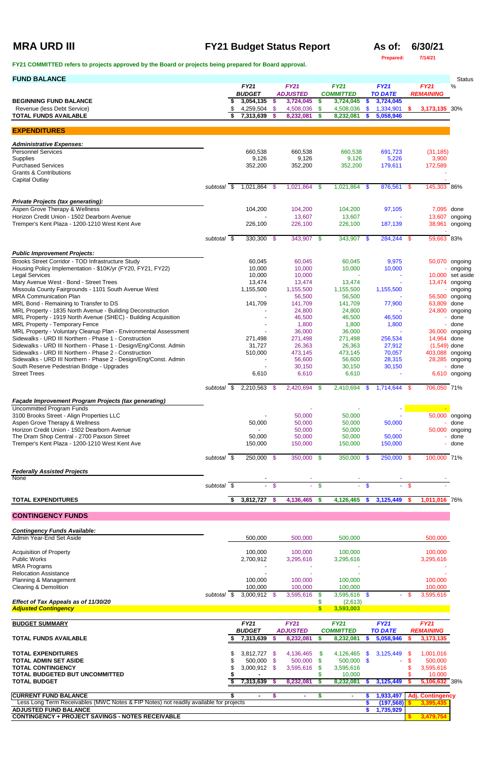# **MRA URD III FY21 Budget Status Report As of: 6/30/21**

**Prepared: 7/14/21**

| <b>FUND BALANCE</b>                                                                                                       |             |                                   |               |                                |                    |                                      |               |                               |     |                                      | <b>Status</b>               |
|---------------------------------------------------------------------------------------------------------------------------|-------------|-----------------------------------|---------------|--------------------------------|--------------------|--------------------------------------|---------------|-------------------------------|-----|--------------------------------------|-----------------------------|
|                                                                                                                           |             | <b>FY21</b><br><b>BUDGET</b>      |               | <b>FY21</b><br><b>ADJUSTED</b> |                    | <b>FY21</b><br><b>COMMITTED</b>      |               | <b>FY21</b><br><b>TO DATE</b> |     | <b>FY21</b><br><b>REMAINING</b>      | $\%$                        |
| <b>BEGINNING FUND BALANCE</b><br>Revenue (less Debt Service)                                                              |             | 3,054,135<br>4,259,504 \$         | -\$           | 3,724,045<br>4,508,036         | \$.<br>-\$         | 3,724,045<br>4,508,036               | \$<br>-\$     | 3,724,045<br>1,334,901        | -S  | 3,173,135 30%                        |                             |
| <b>TOTAL FUNDS AVAILABLE</b>                                                                                              |             | \$<br>7,313,639                   | -\$           | 8,232,081                      | s.                 | 8,232,081                            | - \$          | 5,058,946                     |     |                                      |                             |
| <b>EXPENDITURES</b>                                                                                                       |             |                                   |               |                                |                    |                                      |               |                               |     |                                      |                             |
| <b>Administrative Expenses:</b>                                                                                           |             |                                   |               |                                |                    |                                      |               |                               |     |                                      |                             |
| <b>Personnel Services</b>                                                                                                 |             | 660,538                           |               | 660,538                        |                    | 660,538                              |               | 691,723                       |     | (31, 185)                            |                             |
| Supplies                                                                                                                  |             | 9,126                             |               | 9,126                          |                    | 9,126                                |               | 5,226                         |     | 3,900                                |                             |
| <b>Purchased Services</b><br><b>Grants &amp; Contributions</b>                                                            |             | 352,200                           |               | 352,200                        |                    | 352,200                              |               | 179,611                       |     | 172,589                              |                             |
| Capital Outlay                                                                                                            |             |                                   |               |                                |                    |                                      |               |                               |     |                                      |                             |
|                                                                                                                           | subtotal \$ | 1,021,864 \$                      |               | 1,021,864 \$                   |                    | 1,021,864 \$                         |               | 876,561 \$                    |     | 145,303 86%                          |                             |
| <b>Private Projects (tax generating):</b>                                                                                 |             |                                   |               |                                |                    |                                      |               |                               |     |                                      |                             |
| Aspen Grove Therapy & Wellness<br>Horizon Credit Union - 1502 Dearborn Avenue                                             |             | 104,200                           |               | 104,200<br>13,607              |                    | 104,200<br>13,607                    |               | 97,105                        |     | 7,095 done                           | 13,607 ongoing              |
| Tremper's Kent Plaza - 1200-1210 West Kent Ave                                                                            |             | 226,100                           |               | 226,100                        |                    | 226,100                              |               | 187,139                       |     | 38,961                               | ongoing                     |
|                                                                                                                           |             |                                   |               |                                |                    |                                      |               |                               |     |                                      |                             |
|                                                                                                                           | subtotal \$ | 330,300 \$                        |               | 343,907 \$                     |                    | 343,907 \$                           |               | 284,244 \$                    |     | 59,663 83%                           |                             |
| <b>Public Improvement Projects:</b>                                                                                       |             |                                   |               |                                |                    |                                      |               |                               |     |                                      |                             |
| Brooks Street Corridor - TOD Infrastructure Study                                                                         |             | 60,045                            |               | 60,045                         |                    | 60,045                               |               | 9,975                         |     |                                      | 50,070 ongoing              |
| Housing Policy Implementation - \$10K/yr (FY20, FY21, FY22)<br><b>Legal Services</b>                                      |             | 10,000<br>10,000                  |               | 10,000<br>10,000               |                    | 10,000                               |               | 10,000                        |     |                                      | ongoing<br>10,000 set aside |
| Mary Avenue West - Bond - Street Trees                                                                                    |             | 13,474                            |               | 13,474                         |                    | 13,474                               |               |                               |     |                                      | 13,474 ongoing              |
| Missoula County Fairgrounds - 1101 South Avenue West<br><b>MRA Communication Plan</b>                                     |             | 1,155,500                         |               | 1,155,500<br>56,500            |                    | 1,155,500<br>56,500                  |               | 1,155,500                     |     |                                      | ongoing<br>56,500 ongoing   |
| MRL Bond - Remaining to Transfer to DS                                                                                    |             | 141,709                           |               | 141,709                        |                    | 141,709                              |               | 77,900                        |     | 63,809 done                          |                             |
| MRL Property - 1835 North Avenue - Building Deconstruction                                                                |             |                                   |               | 24,800                         |                    | 24,800                               |               |                               |     | 24,800                               | ongoing                     |
| MRL Property - 1919 North Avenue (SHEC) - Building Acquisition<br>MRL Property - Temporary Fence                          |             |                                   |               | 46,500<br>1,800                |                    | 46,500<br>1,800                      |               | 46,500<br>1,800               |     |                                      | done<br>done                |
| MRL Property - Voluntary Cleanup Plan - Environmental Assessment                                                          |             |                                   |               | 36,000                         |                    | 36,000                               |               |                               |     |                                      | 36,000 ongoing              |
| Sidewalks - URD III Northern - Phase 1 - Construction<br>Sidewalks - URD III Northern - Phase 1 - Design/Eng/Const. Admin |             | 271,498<br>31,727                 |               | 271,498<br>26,363              |                    | 271,498<br>26,363                    |               | 256,534<br>27,912             |     | 14,964 done<br>$(1,549)$ done        |                             |
| Sidewalks - URD III Northern - Phase 2 - Construction                                                                     |             | 510,000                           |               | 473,145                        |                    | 473,145                              |               | 70,057                        |     | 403,088 ongoing                      |                             |
| Sidewalks - URD III Northern - Phase 2 - Design/Eng/Const. Admin                                                          |             |                                   |               | 56,600                         |                    | 56,600                               |               | 28,315                        |     |                                      | 28,285 ongoing              |
| South Reserve Pedestrian Bridge - Upgrades<br><b>Street Trees</b>                                                         |             | 6,610                             |               | 30,150<br>6,610                |                    | 30,150<br>6,610                      |               | 30,150                        |     |                                      | done<br>6,610 ongoing       |
|                                                                                                                           |             |                                   |               |                                |                    |                                      |               |                               |     |                                      |                             |
|                                                                                                                           | subtotal \$ | 2,210,563 \$                      |               | 2,420,694 \$                   |                    | 2,410,694                            | - \$          | 1,714,644 \$                  |     | 706,050 71%                          |                             |
| <b>Façade Improvement Program Projects (tax generating)</b>                                                               |             |                                   |               |                                |                    |                                      |               |                               |     |                                      |                             |
| <b>Uncommitted Program Funds</b><br>3100 Brooks Street - Align Properties LLC                                             |             |                                   |               | 50,000                         |                    | 50,000                               |               |                               |     |                                      | 50,000 ongoing              |
| Aspen Grove Therapy & Wellness                                                                                            |             | 50,000                            |               | 50,000                         |                    | 50,000                               |               | 50,000                        |     |                                      | done                        |
| Horizon Credit Union - 1502 Dearborn Avenue<br>The Dram Shop Central - 2700 Paxson Street                                 |             | 50,000                            |               | 50,000<br>50,000               |                    | 50,000<br>50,000                     |               | 50,000                        |     |                                      | 50,000 ongoing<br>done      |
| Tremper's Kent Plaza - 1200-1210 West Kent Ave                                                                            |             | 150,000                           |               | 150,000                        |                    | 150,000                              |               | 150,000                       |     |                                      | done                        |
|                                                                                                                           | subtotal \$ | $250,000$ \$                      |               | 350,000 \$                     |                    | 350,000 \$                           |               | 250,000 \$                    |     | 100,000 71%                          |                             |
|                                                                                                                           |             |                                   |               |                                |                    |                                      |               |                               |     |                                      |                             |
| <b>Federally Assisted Projects</b><br>None                                                                                |             |                                   |               |                                |                    |                                      |               |                               |     |                                      |                             |
|                                                                                                                           | subtotal \$ | $\sim$                            | $\sqrt[6]{3}$ | $\omega$ .                     | $\mathbf{\hat{s}}$ | $\sim$                               | $\mathbf{\$}$ | ÷.                            | -\$ |                                      |                             |
| <b>TOTAL EXPENDITURES</b>                                                                                                 |             | \$<br>3,812,727 \$                |               | 4,136,465                      | - \$               | 4,126,465                            | -\$           | 3,125,449                     |     | 1,011,016 76%                        |                             |
|                                                                                                                           |             |                                   |               |                                |                    |                                      |               |                               |     |                                      |                             |
| <b>CONTINGENCY FUNDS</b>                                                                                                  |             |                                   |               |                                |                    |                                      |               |                               |     |                                      |                             |
| <b>Contingency Funds Available:</b>                                                                                       |             |                                   |               |                                |                    |                                      |               |                               |     |                                      |                             |
| Admin Year-End Set Aside                                                                                                  |             | 500,000                           |               | 500,000                        |                    | 500,000                              |               |                               |     | 500,000                              |                             |
| <b>Acquisition of Property</b>                                                                                            |             | 100,000                           |               | 100,000                        |                    | 100,000                              |               |                               |     | 100,000                              |                             |
| Public Works                                                                                                              |             | 2,700,912                         |               | 3,295,616                      |                    | 3,295,616                            |               |                               |     | 3,295,616                            |                             |
| <b>MRA Programs</b><br><b>Relocation Assistance</b>                                                                       |             |                                   |               |                                |                    |                                      |               |                               |     |                                      |                             |
| Planning & Management                                                                                                     |             | 100,000                           |               | 100,000                        |                    | 100,000                              |               |                               |     | 100,000                              |                             |
| <b>Clearing &amp; Demolition</b>                                                                                          | subtotal \$ | 100,000<br>3,000,912 \$           |               | 100,000<br>3,595,616           | S.                 | 100,000<br>3,595,616 \$              |               |                               |     | 100,000<br>3,595,616                 |                             |
| Effect of Tax Appeals as of 11/30/20                                                                                      |             |                                   |               |                                | \$                 | (2,613)                              |               |                               |     |                                      |                             |
| <b>Adjusted Contingency</b>                                                                                               |             |                                   |               |                                | $\mathbf{s}$       | 3,593,003                            |               |                               |     |                                      |                             |
| <b>BUDGET SUMMARY</b>                                                                                                     |             | <b>FY21</b>                       |               | <b>FY21</b>                    |                    | <b>FY21</b>                          |               | <b>FY21</b>                   |     | <b>FY21</b>                          |                             |
| <b>TOTAL FUNDS AVAILABLE</b>                                                                                              |             | <i><b>BUDGET</b></i><br>7,313,639 | -S            | <b>ADJUSTED</b><br>8,232,081   | S.                 | <i><b>COMMITTED</b></i><br>8,232,081 | - \$          | TO DATE<br>5,058,946          | S   | <i><b>REMAINING</b></i><br>3,173,135 |                             |
|                                                                                                                           |             |                                   |               |                                |                    |                                      |               |                               |     |                                      |                             |
| <b>TOTAL EXPENDITURES</b>                                                                                                 |             | 3,812,727 \$                      |               | 4,136,465 \$                   |                    | 4,126,465 \$                         |               | 3,125,449                     |     | 1,001,016                            |                             |
| <b>TOTAL ADMIN SET ASIDE</b><br><b>TOTAL CONTINGENCY</b>                                                                  |             | 500,000 \$<br>3,000,912 \$        |               | 500,000 \$<br>3,595,616        | - \$               | 500,000 \$<br>3,595,616              |               |                               |     | 500,000<br>3,595,616                 |                             |
| TOTAL BUDGETED BUT UNCOMMITTED                                                                                            |             |                                   |               |                                |                    | 10,000                               |               |                               |     | 10,000                               |                             |
| <b>TOTAL BUDGET</b>                                                                                                       |             | 7,313,639 \$                      |               | 8,232,081                      | S.                 | 8,232,081                            | - 5           | 3,125,449                     |     | 5,106,632 38%                        |                             |
| <b>CURRENT FUND BALANCE</b>                                                                                               |             | $\sim$                            | \$            | $\sim$                         | \$                 | $\sim$                               | S             | 1,933,497                     |     | <b>Adj. Contingency</b>              |                             |
| Less Long Term Receivables (MWC Notes & FIP Notes) not readily available for projects<br><b>ADJUSTED FUND BALANCE</b>     |             |                                   |               |                                |                    |                                      | \$<br>\$      | (197, 568)<br>1,735,929       |     | 3,395,435                            |                             |
| <b>CONTINGENCY + PROJECT SAVINGS - NOTES RECEIVABLE</b>                                                                   |             |                                   |               |                                |                    |                                      |               |                               |     | 3,479,754                            |                             |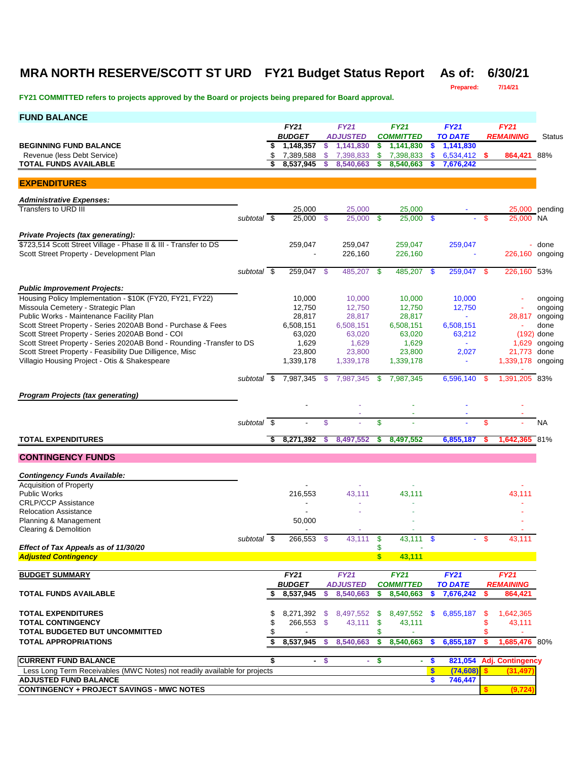### **MRA NORTH RESERVE/SCOTT ST URD FY21 Budget Status Report As of: 6/30/21**

**Prepared: 7/14/21**

| <b>FY21</b><br><b>FY21</b><br><b>FY21</b><br><b>FY21</b><br><b>FY21</b><br><b>BUDGET</b><br><b>ADJUSTED</b><br><b>COMMITTED</b><br><b>TO DATE</b><br><b>REMAINING</b><br><b>Status</b><br>1,148,357<br>1,141,830<br>1,141,830<br><b>BEGINNING FUND BALANCE</b><br>s.<br>1,141,830<br>\$<br>-S<br>\$<br>\$<br>7,389,588<br>\$<br>7,398,833<br>6,534,412 \$<br>Revenue (less Debt Service)<br>\$<br>7,398,833<br>\$<br>864,421 88%<br>8,537,945<br>7,676,242<br><b>TOTAL FUNDS AVAILABLE</b><br>8,540,663<br>\$<br>8,540,663<br><b>EXPENDITURES</b><br><b>Administrative Expenses:</b><br>Transfers to URD III<br>25,000<br>25,000<br>25,000<br>25,000 pending<br>25,000<br>subtotal \$<br>25,000<br>-\$<br>25,000 \$<br>$\mathbf{s}$<br>25,000 NA<br>\$<br>Private Projects (tax generating):<br>\$723,514 Scott Street Village - Phase II & III - Transfer to DS<br>259,047<br>259,047<br>259,047<br>259,047<br>- done<br>Scott Street Property - Development Plan<br>226,160<br>226,160 ongoing<br>226,160<br>259,047 \$<br>subtotal \$<br>259,047 \$<br>485,207<br>485,207<br>226,160 53%<br>- \$<br><b>S</b><br><b>Public Improvement Projects:</b><br>Housing Policy Implementation - \$10K (FY20, FY21, FY22)<br>10,000<br>10,000<br>10,000<br>10,000<br>ongoing<br>Missoula Cemetery - Strategic Plan<br>12,750<br>12,750<br>12,750<br>12,750<br>ongoing<br>Public Works - Maintenance Facility Plan<br>28,817<br>28,817<br>28,817<br>28,817 ongoing<br>$\blacksquare$<br>Scott Street Property - Series 2020AB Bond - Purchase & Fees<br>6,508,151<br>6,508,151<br>6,508,151<br>6,508,151<br>done<br>Scott Street Property - Series 2020AB Bond - COI<br>63,020<br>63,020<br>63,020<br>$(192)$ done<br>63,212<br>Scott Street Property - Series 2020AB Bond - Rounding - Transfer to DS<br>1,629<br>1,629<br>1,629<br>1,629<br>ongoing<br>Scott Street Property - Feasibility Due Dilligence, Misc<br>23,800<br>23,800<br>21,773<br>23,800<br>2,027<br>done<br>Villagio Housing Project - Otis & Shakespeare<br>1,339,178<br>1,339,178<br>1,339,178<br>1,339,178 ongoing<br>÷,<br>subtotal $\frac{1}{2}$ 7,987,345 $\frac{1}{2}$<br>7,987,345<br>- \$<br>7,987,345<br>6,596,140<br>1,391,205 83%<br>- \$<br><b>Program Projects (tax generating)</b><br>subtotal \$<br>\$<br>\$<br>\$<br><b>NA</b><br>8,271,392<br><b>TOTAL EXPENDITURES</b><br>\$<br>8,497,552<br>8,497,552<br>6,855,187<br>1,642,365 81%<br>s.<br>S<br>S<br><b>CONTINGENCY FUNDS</b><br><b>Contingency Funds Available:</b><br><b>Acquisition of Property</b><br><b>Public Works</b><br>216,553<br>43,111<br>43,111<br>43,111<br><b>CRLP/CCP Assistance</b><br><b>Relocation Assistance</b><br>Planning & Management<br>50,000<br><b>Clearing &amp; Demolition</b><br>$\overline{\phantom{a}}$<br>subtotal \$<br>266,553 \$<br>43,111<br>\$<br>43,111 \$<br>43,111<br>Effect of Tax Appeals as of 11/30/20<br>\$<br>43,111<br><b>Adjusted Contingency</b><br>$\boldsymbol{s}$<br><b>FY21</b><br><b>FY21</b><br><b>FY21</b><br><b>FY21</b><br><b>FY21</b><br><b>BUDGET SUMMARY</b><br><b>BUDGET</b><br><b>ADJUSTED</b><br><b>TO DATE</b><br><b>COMMITTED</b><br><b>REMAINING</b><br>8,537,945<br>7,676,242<br><b>TOTAL FUNDS AVAILABLE</b><br>\$<br>8,540,663<br>\$<br>8,540,663<br>864,421<br>S<br>\$.<br>\$<br><b>TOTAL EXPENDITURES</b><br>6,855,187<br>8,271,392<br>8,497,552 \$<br>8,497,552 \$<br>1,642,365<br>\$<br>-S<br>-\$<br>\$<br><b>TOTAL CONTINGENCY</b><br>\$<br>266,553 \$<br>43,111<br>-\$<br>43,111<br>43,111<br>\$<br><b>TOTAL BUDGETED BUT UNCOMMITTED</b><br>\$<br>\$<br>÷<br>8,537,945<br>8,540,663<br>6,855,187<br>1,685,476 80%<br><b>TOTAL APPROPRIATIONS</b><br>\$<br>\$<br>8,540,663<br>s.<br>s<br>s<br><b>CURRENT FUND BALANCE</b><br>\$<br>$\mathbf{\$}$<br>821,054<br><b>Adj. Contingency</b><br>- \$<br>\$<br>$\omega_{\rm c}$<br>$\sim$<br>$\mathbf{s}$<br>(74, 608)<br>Less Long Term Receivables (MWC Notes) not readily available for projects<br>s.<br>(31, 497)<br><b>ADJUSTED FUND BALANCE</b><br>\$<br>746,447<br><b>CONTINGENCY + PROJECT SAVINGS - MWC NOTES</b><br>\$<br>(9, 724) | <b>FUND BALANCE</b> |  |  |  |  |  |  |
|-----------------------------------------------------------------------------------------------------------------------------------------------------------------------------------------------------------------------------------------------------------------------------------------------------------------------------------------------------------------------------------------------------------------------------------------------------------------------------------------------------------------------------------------------------------------------------------------------------------------------------------------------------------------------------------------------------------------------------------------------------------------------------------------------------------------------------------------------------------------------------------------------------------------------------------------------------------------------------------------------------------------------------------------------------------------------------------------------------------------------------------------------------------------------------------------------------------------------------------------------------------------------------------------------------------------------------------------------------------------------------------------------------------------------------------------------------------------------------------------------------------------------------------------------------------------------------------------------------------------------------------------------------------------------------------------------------------------------------------------------------------------------------------------------------------------------------------------------------------------------------------------------------------------------------------------------------------------------------------------------------------------------------------------------------------------------------------------------------------------------------------------------------------------------------------------------------------------------------------------------------------------------------------------------------------------------------------------------------------------------------------------------------------------------------------------------------------------------------------------------------------------------------------------------------------------------------------------------------------------------------------------------------------------------------------------------------------------------------------------------------------------------------------------------------------------------------------------------------------------------------------------------------------------------------------------------------------------------------------------------------------------------------------------------------------------------------------------------------------------------------------------------------------------------------------------------------------------------------------------------------------------------------------------------------------------------------------------------------------------------------------------------------------------------------------------------------------------------------------------------------------------------------------------------------------------------------------------------------------------------------------------------------------------------------------------------------------------------------------------------------------------------------------------------------------------------------------------------------------------------------------------------------------------------------------------------------------------------------------------------------------------------------------------------------------------------------------------------------|---------------------|--|--|--|--|--|--|
|                                                                                                                                                                                                                                                                                                                                                                                                                                                                                                                                                                                                                                                                                                                                                                                                                                                                                                                                                                                                                                                                                                                                                                                                                                                                                                                                                                                                                                                                                                                                                                                                                                                                                                                                                                                                                                                                                                                                                                                                                                                                                                                                                                                                                                                                                                                                                                                                                                                                                                                                                                                                                                                                                                                                                                                                                                                                                                                                                                                                                                                                                                                                                                                                                                                                                                                                                                                                                                                                                                                                                                                                                                                                                                                                                                                                                                                                                                                                                                                                                                                                                                     |                     |  |  |  |  |  |  |
|                                                                                                                                                                                                                                                                                                                                                                                                                                                                                                                                                                                                                                                                                                                                                                                                                                                                                                                                                                                                                                                                                                                                                                                                                                                                                                                                                                                                                                                                                                                                                                                                                                                                                                                                                                                                                                                                                                                                                                                                                                                                                                                                                                                                                                                                                                                                                                                                                                                                                                                                                                                                                                                                                                                                                                                                                                                                                                                                                                                                                                                                                                                                                                                                                                                                                                                                                                                                                                                                                                                                                                                                                                                                                                                                                                                                                                                                                                                                                                                                                                                                                                     |                     |  |  |  |  |  |  |
|                                                                                                                                                                                                                                                                                                                                                                                                                                                                                                                                                                                                                                                                                                                                                                                                                                                                                                                                                                                                                                                                                                                                                                                                                                                                                                                                                                                                                                                                                                                                                                                                                                                                                                                                                                                                                                                                                                                                                                                                                                                                                                                                                                                                                                                                                                                                                                                                                                                                                                                                                                                                                                                                                                                                                                                                                                                                                                                                                                                                                                                                                                                                                                                                                                                                                                                                                                                                                                                                                                                                                                                                                                                                                                                                                                                                                                                                                                                                                                                                                                                                                                     |                     |  |  |  |  |  |  |
|                                                                                                                                                                                                                                                                                                                                                                                                                                                                                                                                                                                                                                                                                                                                                                                                                                                                                                                                                                                                                                                                                                                                                                                                                                                                                                                                                                                                                                                                                                                                                                                                                                                                                                                                                                                                                                                                                                                                                                                                                                                                                                                                                                                                                                                                                                                                                                                                                                                                                                                                                                                                                                                                                                                                                                                                                                                                                                                                                                                                                                                                                                                                                                                                                                                                                                                                                                                                                                                                                                                                                                                                                                                                                                                                                                                                                                                                                                                                                                                                                                                                                                     |                     |  |  |  |  |  |  |
|                                                                                                                                                                                                                                                                                                                                                                                                                                                                                                                                                                                                                                                                                                                                                                                                                                                                                                                                                                                                                                                                                                                                                                                                                                                                                                                                                                                                                                                                                                                                                                                                                                                                                                                                                                                                                                                                                                                                                                                                                                                                                                                                                                                                                                                                                                                                                                                                                                                                                                                                                                                                                                                                                                                                                                                                                                                                                                                                                                                                                                                                                                                                                                                                                                                                                                                                                                                                                                                                                                                                                                                                                                                                                                                                                                                                                                                                                                                                                                                                                                                                                                     |                     |  |  |  |  |  |  |
|                                                                                                                                                                                                                                                                                                                                                                                                                                                                                                                                                                                                                                                                                                                                                                                                                                                                                                                                                                                                                                                                                                                                                                                                                                                                                                                                                                                                                                                                                                                                                                                                                                                                                                                                                                                                                                                                                                                                                                                                                                                                                                                                                                                                                                                                                                                                                                                                                                                                                                                                                                                                                                                                                                                                                                                                                                                                                                                                                                                                                                                                                                                                                                                                                                                                                                                                                                                                                                                                                                                                                                                                                                                                                                                                                                                                                                                                                                                                                                                                                                                                                                     |                     |  |  |  |  |  |  |
|                                                                                                                                                                                                                                                                                                                                                                                                                                                                                                                                                                                                                                                                                                                                                                                                                                                                                                                                                                                                                                                                                                                                                                                                                                                                                                                                                                                                                                                                                                                                                                                                                                                                                                                                                                                                                                                                                                                                                                                                                                                                                                                                                                                                                                                                                                                                                                                                                                                                                                                                                                                                                                                                                                                                                                                                                                                                                                                                                                                                                                                                                                                                                                                                                                                                                                                                                                                                                                                                                                                                                                                                                                                                                                                                                                                                                                                                                                                                                                                                                                                                                                     |                     |  |  |  |  |  |  |
|                                                                                                                                                                                                                                                                                                                                                                                                                                                                                                                                                                                                                                                                                                                                                                                                                                                                                                                                                                                                                                                                                                                                                                                                                                                                                                                                                                                                                                                                                                                                                                                                                                                                                                                                                                                                                                                                                                                                                                                                                                                                                                                                                                                                                                                                                                                                                                                                                                                                                                                                                                                                                                                                                                                                                                                                                                                                                                                                                                                                                                                                                                                                                                                                                                                                                                                                                                                                                                                                                                                                                                                                                                                                                                                                                                                                                                                                                                                                                                                                                                                                                                     |                     |  |  |  |  |  |  |
|                                                                                                                                                                                                                                                                                                                                                                                                                                                                                                                                                                                                                                                                                                                                                                                                                                                                                                                                                                                                                                                                                                                                                                                                                                                                                                                                                                                                                                                                                                                                                                                                                                                                                                                                                                                                                                                                                                                                                                                                                                                                                                                                                                                                                                                                                                                                                                                                                                                                                                                                                                                                                                                                                                                                                                                                                                                                                                                                                                                                                                                                                                                                                                                                                                                                                                                                                                                                                                                                                                                                                                                                                                                                                                                                                                                                                                                                                                                                                                                                                                                                                                     |                     |  |  |  |  |  |  |
|                                                                                                                                                                                                                                                                                                                                                                                                                                                                                                                                                                                                                                                                                                                                                                                                                                                                                                                                                                                                                                                                                                                                                                                                                                                                                                                                                                                                                                                                                                                                                                                                                                                                                                                                                                                                                                                                                                                                                                                                                                                                                                                                                                                                                                                                                                                                                                                                                                                                                                                                                                                                                                                                                                                                                                                                                                                                                                                                                                                                                                                                                                                                                                                                                                                                                                                                                                                                                                                                                                                                                                                                                                                                                                                                                                                                                                                                                                                                                                                                                                                                                                     |                     |  |  |  |  |  |  |
|                                                                                                                                                                                                                                                                                                                                                                                                                                                                                                                                                                                                                                                                                                                                                                                                                                                                                                                                                                                                                                                                                                                                                                                                                                                                                                                                                                                                                                                                                                                                                                                                                                                                                                                                                                                                                                                                                                                                                                                                                                                                                                                                                                                                                                                                                                                                                                                                                                                                                                                                                                                                                                                                                                                                                                                                                                                                                                                                                                                                                                                                                                                                                                                                                                                                                                                                                                                                                                                                                                                                                                                                                                                                                                                                                                                                                                                                                                                                                                                                                                                                                                     |                     |  |  |  |  |  |  |
|                                                                                                                                                                                                                                                                                                                                                                                                                                                                                                                                                                                                                                                                                                                                                                                                                                                                                                                                                                                                                                                                                                                                                                                                                                                                                                                                                                                                                                                                                                                                                                                                                                                                                                                                                                                                                                                                                                                                                                                                                                                                                                                                                                                                                                                                                                                                                                                                                                                                                                                                                                                                                                                                                                                                                                                                                                                                                                                                                                                                                                                                                                                                                                                                                                                                                                                                                                                                                                                                                                                                                                                                                                                                                                                                                                                                                                                                                                                                                                                                                                                                                                     |                     |  |  |  |  |  |  |
|                                                                                                                                                                                                                                                                                                                                                                                                                                                                                                                                                                                                                                                                                                                                                                                                                                                                                                                                                                                                                                                                                                                                                                                                                                                                                                                                                                                                                                                                                                                                                                                                                                                                                                                                                                                                                                                                                                                                                                                                                                                                                                                                                                                                                                                                                                                                                                                                                                                                                                                                                                                                                                                                                                                                                                                                                                                                                                                                                                                                                                                                                                                                                                                                                                                                                                                                                                                                                                                                                                                                                                                                                                                                                                                                                                                                                                                                                                                                                                                                                                                                                                     |                     |  |  |  |  |  |  |
|                                                                                                                                                                                                                                                                                                                                                                                                                                                                                                                                                                                                                                                                                                                                                                                                                                                                                                                                                                                                                                                                                                                                                                                                                                                                                                                                                                                                                                                                                                                                                                                                                                                                                                                                                                                                                                                                                                                                                                                                                                                                                                                                                                                                                                                                                                                                                                                                                                                                                                                                                                                                                                                                                                                                                                                                                                                                                                                                                                                                                                                                                                                                                                                                                                                                                                                                                                                                                                                                                                                                                                                                                                                                                                                                                                                                                                                                                                                                                                                                                                                                                                     |                     |  |  |  |  |  |  |
|                                                                                                                                                                                                                                                                                                                                                                                                                                                                                                                                                                                                                                                                                                                                                                                                                                                                                                                                                                                                                                                                                                                                                                                                                                                                                                                                                                                                                                                                                                                                                                                                                                                                                                                                                                                                                                                                                                                                                                                                                                                                                                                                                                                                                                                                                                                                                                                                                                                                                                                                                                                                                                                                                                                                                                                                                                                                                                                                                                                                                                                                                                                                                                                                                                                                                                                                                                                                                                                                                                                                                                                                                                                                                                                                                                                                                                                                                                                                                                                                                                                                                                     |                     |  |  |  |  |  |  |
|                                                                                                                                                                                                                                                                                                                                                                                                                                                                                                                                                                                                                                                                                                                                                                                                                                                                                                                                                                                                                                                                                                                                                                                                                                                                                                                                                                                                                                                                                                                                                                                                                                                                                                                                                                                                                                                                                                                                                                                                                                                                                                                                                                                                                                                                                                                                                                                                                                                                                                                                                                                                                                                                                                                                                                                                                                                                                                                                                                                                                                                                                                                                                                                                                                                                                                                                                                                                                                                                                                                                                                                                                                                                                                                                                                                                                                                                                                                                                                                                                                                                                                     |                     |  |  |  |  |  |  |
|                                                                                                                                                                                                                                                                                                                                                                                                                                                                                                                                                                                                                                                                                                                                                                                                                                                                                                                                                                                                                                                                                                                                                                                                                                                                                                                                                                                                                                                                                                                                                                                                                                                                                                                                                                                                                                                                                                                                                                                                                                                                                                                                                                                                                                                                                                                                                                                                                                                                                                                                                                                                                                                                                                                                                                                                                                                                                                                                                                                                                                                                                                                                                                                                                                                                                                                                                                                                                                                                                                                                                                                                                                                                                                                                                                                                                                                                                                                                                                                                                                                                                                     |                     |  |  |  |  |  |  |
|                                                                                                                                                                                                                                                                                                                                                                                                                                                                                                                                                                                                                                                                                                                                                                                                                                                                                                                                                                                                                                                                                                                                                                                                                                                                                                                                                                                                                                                                                                                                                                                                                                                                                                                                                                                                                                                                                                                                                                                                                                                                                                                                                                                                                                                                                                                                                                                                                                                                                                                                                                                                                                                                                                                                                                                                                                                                                                                                                                                                                                                                                                                                                                                                                                                                                                                                                                                                                                                                                                                                                                                                                                                                                                                                                                                                                                                                                                                                                                                                                                                                                                     |                     |  |  |  |  |  |  |
|                                                                                                                                                                                                                                                                                                                                                                                                                                                                                                                                                                                                                                                                                                                                                                                                                                                                                                                                                                                                                                                                                                                                                                                                                                                                                                                                                                                                                                                                                                                                                                                                                                                                                                                                                                                                                                                                                                                                                                                                                                                                                                                                                                                                                                                                                                                                                                                                                                                                                                                                                                                                                                                                                                                                                                                                                                                                                                                                                                                                                                                                                                                                                                                                                                                                                                                                                                                                                                                                                                                                                                                                                                                                                                                                                                                                                                                                                                                                                                                                                                                                                                     |                     |  |  |  |  |  |  |
|                                                                                                                                                                                                                                                                                                                                                                                                                                                                                                                                                                                                                                                                                                                                                                                                                                                                                                                                                                                                                                                                                                                                                                                                                                                                                                                                                                                                                                                                                                                                                                                                                                                                                                                                                                                                                                                                                                                                                                                                                                                                                                                                                                                                                                                                                                                                                                                                                                                                                                                                                                                                                                                                                                                                                                                                                                                                                                                                                                                                                                                                                                                                                                                                                                                                                                                                                                                                                                                                                                                                                                                                                                                                                                                                                                                                                                                                                                                                                                                                                                                                                                     |                     |  |  |  |  |  |  |
|                                                                                                                                                                                                                                                                                                                                                                                                                                                                                                                                                                                                                                                                                                                                                                                                                                                                                                                                                                                                                                                                                                                                                                                                                                                                                                                                                                                                                                                                                                                                                                                                                                                                                                                                                                                                                                                                                                                                                                                                                                                                                                                                                                                                                                                                                                                                                                                                                                                                                                                                                                                                                                                                                                                                                                                                                                                                                                                                                                                                                                                                                                                                                                                                                                                                                                                                                                                                                                                                                                                                                                                                                                                                                                                                                                                                                                                                                                                                                                                                                                                                                                     |                     |  |  |  |  |  |  |
|                                                                                                                                                                                                                                                                                                                                                                                                                                                                                                                                                                                                                                                                                                                                                                                                                                                                                                                                                                                                                                                                                                                                                                                                                                                                                                                                                                                                                                                                                                                                                                                                                                                                                                                                                                                                                                                                                                                                                                                                                                                                                                                                                                                                                                                                                                                                                                                                                                                                                                                                                                                                                                                                                                                                                                                                                                                                                                                                                                                                                                                                                                                                                                                                                                                                                                                                                                                                                                                                                                                                                                                                                                                                                                                                                                                                                                                                                                                                                                                                                                                                                                     |                     |  |  |  |  |  |  |
|                                                                                                                                                                                                                                                                                                                                                                                                                                                                                                                                                                                                                                                                                                                                                                                                                                                                                                                                                                                                                                                                                                                                                                                                                                                                                                                                                                                                                                                                                                                                                                                                                                                                                                                                                                                                                                                                                                                                                                                                                                                                                                                                                                                                                                                                                                                                                                                                                                                                                                                                                                                                                                                                                                                                                                                                                                                                                                                                                                                                                                                                                                                                                                                                                                                                                                                                                                                                                                                                                                                                                                                                                                                                                                                                                                                                                                                                                                                                                                                                                                                                                                     |                     |  |  |  |  |  |  |
|                                                                                                                                                                                                                                                                                                                                                                                                                                                                                                                                                                                                                                                                                                                                                                                                                                                                                                                                                                                                                                                                                                                                                                                                                                                                                                                                                                                                                                                                                                                                                                                                                                                                                                                                                                                                                                                                                                                                                                                                                                                                                                                                                                                                                                                                                                                                                                                                                                                                                                                                                                                                                                                                                                                                                                                                                                                                                                                                                                                                                                                                                                                                                                                                                                                                                                                                                                                                                                                                                                                                                                                                                                                                                                                                                                                                                                                                                                                                                                                                                                                                                                     |                     |  |  |  |  |  |  |
|                                                                                                                                                                                                                                                                                                                                                                                                                                                                                                                                                                                                                                                                                                                                                                                                                                                                                                                                                                                                                                                                                                                                                                                                                                                                                                                                                                                                                                                                                                                                                                                                                                                                                                                                                                                                                                                                                                                                                                                                                                                                                                                                                                                                                                                                                                                                                                                                                                                                                                                                                                                                                                                                                                                                                                                                                                                                                                                                                                                                                                                                                                                                                                                                                                                                                                                                                                                                                                                                                                                                                                                                                                                                                                                                                                                                                                                                                                                                                                                                                                                                                                     |                     |  |  |  |  |  |  |
|                                                                                                                                                                                                                                                                                                                                                                                                                                                                                                                                                                                                                                                                                                                                                                                                                                                                                                                                                                                                                                                                                                                                                                                                                                                                                                                                                                                                                                                                                                                                                                                                                                                                                                                                                                                                                                                                                                                                                                                                                                                                                                                                                                                                                                                                                                                                                                                                                                                                                                                                                                                                                                                                                                                                                                                                                                                                                                                                                                                                                                                                                                                                                                                                                                                                                                                                                                                                                                                                                                                                                                                                                                                                                                                                                                                                                                                                                                                                                                                                                                                                                                     |                     |  |  |  |  |  |  |
|                                                                                                                                                                                                                                                                                                                                                                                                                                                                                                                                                                                                                                                                                                                                                                                                                                                                                                                                                                                                                                                                                                                                                                                                                                                                                                                                                                                                                                                                                                                                                                                                                                                                                                                                                                                                                                                                                                                                                                                                                                                                                                                                                                                                                                                                                                                                                                                                                                                                                                                                                                                                                                                                                                                                                                                                                                                                                                                                                                                                                                                                                                                                                                                                                                                                                                                                                                                                                                                                                                                                                                                                                                                                                                                                                                                                                                                                                                                                                                                                                                                                                                     |                     |  |  |  |  |  |  |
|                                                                                                                                                                                                                                                                                                                                                                                                                                                                                                                                                                                                                                                                                                                                                                                                                                                                                                                                                                                                                                                                                                                                                                                                                                                                                                                                                                                                                                                                                                                                                                                                                                                                                                                                                                                                                                                                                                                                                                                                                                                                                                                                                                                                                                                                                                                                                                                                                                                                                                                                                                                                                                                                                                                                                                                                                                                                                                                                                                                                                                                                                                                                                                                                                                                                                                                                                                                                                                                                                                                                                                                                                                                                                                                                                                                                                                                                                                                                                                                                                                                                                                     |                     |  |  |  |  |  |  |
|                                                                                                                                                                                                                                                                                                                                                                                                                                                                                                                                                                                                                                                                                                                                                                                                                                                                                                                                                                                                                                                                                                                                                                                                                                                                                                                                                                                                                                                                                                                                                                                                                                                                                                                                                                                                                                                                                                                                                                                                                                                                                                                                                                                                                                                                                                                                                                                                                                                                                                                                                                                                                                                                                                                                                                                                                                                                                                                                                                                                                                                                                                                                                                                                                                                                                                                                                                                                                                                                                                                                                                                                                                                                                                                                                                                                                                                                                                                                                                                                                                                                                                     |                     |  |  |  |  |  |  |
|                                                                                                                                                                                                                                                                                                                                                                                                                                                                                                                                                                                                                                                                                                                                                                                                                                                                                                                                                                                                                                                                                                                                                                                                                                                                                                                                                                                                                                                                                                                                                                                                                                                                                                                                                                                                                                                                                                                                                                                                                                                                                                                                                                                                                                                                                                                                                                                                                                                                                                                                                                                                                                                                                                                                                                                                                                                                                                                                                                                                                                                                                                                                                                                                                                                                                                                                                                                                                                                                                                                                                                                                                                                                                                                                                                                                                                                                                                                                                                                                                                                                                                     |                     |  |  |  |  |  |  |
|                                                                                                                                                                                                                                                                                                                                                                                                                                                                                                                                                                                                                                                                                                                                                                                                                                                                                                                                                                                                                                                                                                                                                                                                                                                                                                                                                                                                                                                                                                                                                                                                                                                                                                                                                                                                                                                                                                                                                                                                                                                                                                                                                                                                                                                                                                                                                                                                                                                                                                                                                                                                                                                                                                                                                                                                                                                                                                                                                                                                                                                                                                                                                                                                                                                                                                                                                                                                                                                                                                                                                                                                                                                                                                                                                                                                                                                                                                                                                                                                                                                                                                     |                     |  |  |  |  |  |  |
|                                                                                                                                                                                                                                                                                                                                                                                                                                                                                                                                                                                                                                                                                                                                                                                                                                                                                                                                                                                                                                                                                                                                                                                                                                                                                                                                                                                                                                                                                                                                                                                                                                                                                                                                                                                                                                                                                                                                                                                                                                                                                                                                                                                                                                                                                                                                                                                                                                                                                                                                                                                                                                                                                                                                                                                                                                                                                                                                                                                                                                                                                                                                                                                                                                                                                                                                                                                                                                                                                                                                                                                                                                                                                                                                                                                                                                                                                                                                                                                                                                                                                                     |                     |  |  |  |  |  |  |
|                                                                                                                                                                                                                                                                                                                                                                                                                                                                                                                                                                                                                                                                                                                                                                                                                                                                                                                                                                                                                                                                                                                                                                                                                                                                                                                                                                                                                                                                                                                                                                                                                                                                                                                                                                                                                                                                                                                                                                                                                                                                                                                                                                                                                                                                                                                                                                                                                                                                                                                                                                                                                                                                                                                                                                                                                                                                                                                                                                                                                                                                                                                                                                                                                                                                                                                                                                                                                                                                                                                                                                                                                                                                                                                                                                                                                                                                                                                                                                                                                                                                                                     |                     |  |  |  |  |  |  |
|                                                                                                                                                                                                                                                                                                                                                                                                                                                                                                                                                                                                                                                                                                                                                                                                                                                                                                                                                                                                                                                                                                                                                                                                                                                                                                                                                                                                                                                                                                                                                                                                                                                                                                                                                                                                                                                                                                                                                                                                                                                                                                                                                                                                                                                                                                                                                                                                                                                                                                                                                                                                                                                                                                                                                                                                                                                                                                                                                                                                                                                                                                                                                                                                                                                                                                                                                                                                                                                                                                                                                                                                                                                                                                                                                                                                                                                                                                                                                                                                                                                                                                     |                     |  |  |  |  |  |  |
|                                                                                                                                                                                                                                                                                                                                                                                                                                                                                                                                                                                                                                                                                                                                                                                                                                                                                                                                                                                                                                                                                                                                                                                                                                                                                                                                                                                                                                                                                                                                                                                                                                                                                                                                                                                                                                                                                                                                                                                                                                                                                                                                                                                                                                                                                                                                                                                                                                                                                                                                                                                                                                                                                                                                                                                                                                                                                                                                                                                                                                                                                                                                                                                                                                                                                                                                                                                                                                                                                                                                                                                                                                                                                                                                                                                                                                                                                                                                                                                                                                                                                                     |                     |  |  |  |  |  |  |
|                                                                                                                                                                                                                                                                                                                                                                                                                                                                                                                                                                                                                                                                                                                                                                                                                                                                                                                                                                                                                                                                                                                                                                                                                                                                                                                                                                                                                                                                                                                                                                                                                                                                                                                                                                                                                                                                                                                                                                                                                                                                                                                                                                                                                                                                                                                                                                                                                                                                                                                                                                                                                                                                                                                                                                                                                                                                                                                                                                                                                                                                                                                                                                                                                                                                                                                                                                                                                                                                                                                                                                                                                                                                                                                                                                                                                                                                                                                                                                                                                                                                                                     |                     |  |  |  |  |  |  |
|                                                                                                                                                                                                                                                                                                                                                                                                                                                                                                                                                                                                                                                                                                                                                                                                                                                                                                                                                                                                                                                                                                                                                                                                                                                                                                                                                                                                                                                                                                                                                                                                                                                                                                                                                                                                                                                                                                                                                                                                                                                                                                                                                                                                                                                                                                                                                                                                                                                                                                                                                                                                                                                                                                                                                                                                                                                                                                                                                                                                                                                                                                                                                                                                                                                                                                                                                                                                                                                                                                                                                                                                                                                                                                                                                                                                                                                                                                                                                                                                                                                                                                     |                     |  |  |  |  |  |  |
|                                                                                                                                                                                                                                                                                                                                                                                                                                                                                                                                                                                                                                                                                                                                                                                                                                                                                                                                                                                                                                                                                                                                                                                                                                                                                                                                                                                                                                                                                                                                                                                                                                                                                                                                                                                                                                                                                                                                                                                                                                                                                                                                                                                                                                                                                                                                                                                                                                                                                                                                                                                                                                                                                                                                                                                                                                                                                                                                                                                                                                                                                                                                                                                                                                                                                                                                                                                                                                                                                                                                                                                                                                                                                                                                                                                                                                                                                                                                                                                                                                                                                                     |                     |  |  |  |  |  |  |
|                                                                                                                                                                                                                                                                                                                                                                                                                                                                                                                                                                                                                                                                                                                                                                                                                                                                                                                                                                                                                                                                                                                                                                                                                                                                                                                                                                                                                                                                                                                                                                                                                                                                                                                                                                                                                                                                                                                                                                                                                                                                                                                                                                                                                                                                                                                                                                                                                                                                                                                                                                                                                                                                                                                                                                                                                                                                                                                                                                                                                                                                                                                                                                                                                                                                                                                                                                                                                                                                                                                                                                                                                                                                                                                                                                                                                                                                                                                                                                                                                                                                                                     |                     |  |  |  |  |  |  |
|                                                                                                                                                                                                                                                                                                                                                                                                                                                                                                                                                                                                                                                                                                                                                                                                                                                                                                                                                                                                                                                                                                                                                                                                                                                                                                                                                                                                                                                                                                                                                                                                                                                                                                                                                                                                                                                                                                                                                                                                                                                                                                                                                                                                                                                                                                                                                                                                                                                                                                                                                                                                                                                                                                                                                                                                                                                                                                                                                                                                                                                                                                                                                                                                                                                                                                                                                                                                                                                                                                                                                                                                                                                                                                                                                                                                                                                                                                                                                                                                                                                                                                     |                     |  |  |  |  |  |  |
|                                                                                                                                                                                                                                                                                                                                                                                                                                                                                                                                                                                                                                                                                                                                                                                                                                                                                                                                                                                                                                                                                                                                                                                                                                                                                                                                                                                                                                                                                                                                                                                                                                                                                                                                                                                                                                                                                                                                                                                                                                                                                                                                                                                                                                                                                                                                                                                                                                                                                                                                                                                                                                                                                                                                                                                                                                                                                                                                                                                                                                                                                                                                                                                                                                                                                                                                                                                                                                                                                                                                                                                                                                                                                                                                                                                                                                                                                                                                                                                                                                                                                                     |                     |  |  |  |  |  |  |
|                                                                                                                                                                                                                                                                                                                                                                                                                                                                                                                                                                                                                                                                                                                                                                                                                                                                                                                                                                                                                                                                                                                                                                                                                                                                                                                                                                                                                                                                                                                                                                                                                                                                                                                                                                                                                                                                                                                                                                                                                                                                                                                                                                                                                                                                                                                                                                                                                                                                                                                                                                                                                                                                                                                                                                                                                                                                                                                                                                                                                                                                                                                                                                                                                                                                                                                                                                                                                                                                                                                                                                                                                                                                                                                                                                                                                                                                                                                                                                                                                                                                                                     |                     |  |  |  |  |  |  |
|                                                                                                                                                                                                                                                                                                                                                                                                                                                                                                                                                                                                                                                                                                                                                                                                                                                                                                                                                                                                                                                                                                                                                                                                                                                                                                                                                                                                                                                                                                                                                                                                                                                                                                                                                                                                                                                                                                                                                                                                                                                                                                                                                                                                                                                                                                                                                                                                                                                                                                                                                                                                                                                                                                                                                                                                                                                                                                                                                                                                                                                                                                                                                                                                                                                                                                                                                                                                                                                                                                                                                                                                                                                                                                                                                                                                                                                                                                                                                                                                                                                                                                     |                     |  |  |  |  |  |  |
|                                                                                                                                                                                                                                                                                                                                                                                                                                                                                                                                                                                                                                                                                                                                                                                                                                                                                                                                                                                                                                                                                                                                                                                                                                                                                                                                                                                                                                                                                                                                                                                                                                                                                                                                                                                                                                                                                                                                                                                                                                                                                                                                                                                                                                                                                                                                                                                                                                                                                                                                                                                                                                                                                                                                                                                                                                                                                                                                                                                                                                                                                                                                                                                                                                                                                                                                                                                                                                                                                                                                                                                                                                                                                                                                                                                                                                                                                                                                                                                                                                                                                                     |                     |  |  |  |  |  |  |
|                                                                                                                                                                                                                                                                                                                                                                                                                                                                                                                                                                                                                                                                                                                                                                                                                                                                                                                                                                                                                                                                                                                                                                                                                                                                                                                                                                                                                                                                                                                                                                                                                                                                                                                                                                                                                                                                                                                                                                                                                                                                                                                                                                                                                                                                                                                                                                                                                                                                                                                                                                                                                                                                                                                                                                                                                                                                                                                                                                                                                                                                                                                                                                                                                                                                                                                                                                                                                                                                                                                                                                                                                                                                                                                                                                                                                                                                                                                                                                                                                                                                                                     |                     |  |  |  |  |  |  |
|                                                                                                                                                                                                                                                                                                                                                                                                                                                                                                                                                                                                                                                                                                                                                                                                                                                                                                                                                                                                                                                                                                                                                                                                                                                                                                                                                                                                                                                                                                                                                                                                                                                                                                                                                                                                                                                                                                                                                                                                                                                                                                                                                                                                                                                                                                                                                                                                                                                                                                                                                                                                                                                                                                                                                                                                                                                                                                                                                                                                                                                                                                                                                                                                                                                                                                                                                                                                                                                                                                                                                                                                                                                                                                                                                                                                                                                                                                                                                                                                                                                                                                     |                     |  |  |  |  |  |  |
|                                                                                                                                                                                                                                                                                                                                                                                                                                                                                                                                                                                                                                                                                                                                                                                                                                                                                                                                                                                                                                                                                                                                                                                                                                                                                                                                                                                                                                                                                                                                                                                                                                                                                                                                                                                                                                                                                                                                                                                                                                                                                                                                                                                                                                                                                                                                                                                                                                                                                                                                                                                                                                                                                                                                                                                                                                                                                                                                                                                                                                                                                                                                                                                                                                                                                                                                                                                                                                                                                                                                                                                                                                                                                                                                                                                                                                                                                                                                                                                                                                                                                                     |                     |  |  |  |  |  |  |
|                                                                                                                                                                                                                                                                                                                                                                                                                                                                                                                                                                                                                                                                                                                                                                                                                                                                                                                                                                                                                                                                                                                                                                                                                                                                                                                                                                                                                                                                                                                                                                                                                                                                                                                                                                                                                                                                                                                                                                                                                                                                                                                                                                                                                                                                                                                                                                                                                                                                                                                                                                                                                                                                                                                                                                                                                                                                                                                                                                                                                                                                                                                                                                                                                                                                                                                                                                                                                                                                                                                                                                                                                                                                                                                                                                                                                                                                                                                                                                                                                                                                                                     |                     |  |  |  |  |  |  |